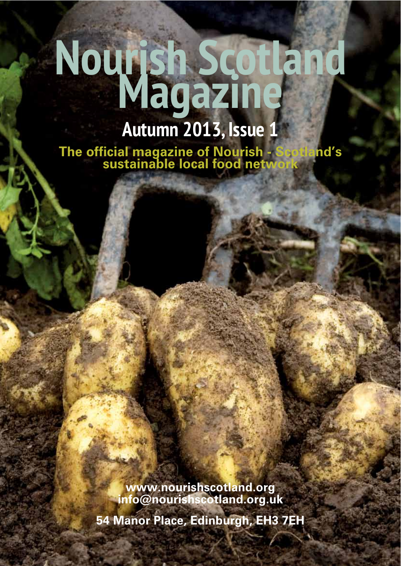# **Nourish Scotland Magazine**

### **Autumn 2013, Issue 1**

**7he official magazine of Nourish - Scotland's<br>sustainable local food network** 

www.nourishscotland.org  $\mathsf{info@norm}$  *info@nourishscotland.org.uk* **54 Manor Place, Edinburgh, EH3 7EH**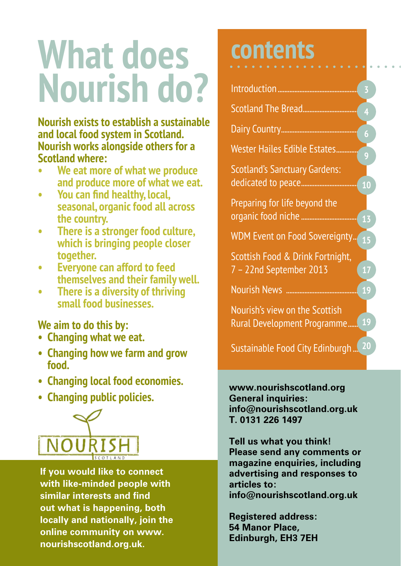# **What does Nourish do?**

**Nourish exists to establish a sustainable and local food system in Scotland. Nourish works alongside others for a Scotland where:**

- **We eat more of what we produce and produce more of what we eat.**
- **•** You can find healthy, local, **seasonal, organic food all across the country.**
- There is a stronger food culture. *<u>Which is bringing people closer</u>* **together.**
- $\bullet$  **Everyone can afford to feed themselves and their family well.**
- **•** There is a diversity of thriving **small food businesses.**

#### **We aim to do this by:**

- **Changing what we eat.**
- **Changing how we farm and grow food.**
- **Changing local food economies.**
- **Changing public policies.**



**If you would like to connect with like-minded people with Similar interests and find out what is happening, both locally and nationally, join the** online community on www. nourishscotland.org.uk.

### **contents**

| Scotland The Bread                                            | 4              |
|---------------------------------------------------------------|----------------|
|                                                               | $\overline{6}$ |
| Wester Hailes Edible Estates                                  | 9              |
| <b>Scotland's Sanctuary Gardens:</b><br>dedicated to peace    | 10             |
| Preparing for life beyond the<br>organic food niche           | 13             |
| WDM Event on Food Sovereignty 15                              |                |
| Scottish Food & Drink Fortnight,<br>7 - 22nd September 2013   | 17             |
|                                                               | 19             |
| Nourish's view on the Scottish<br>Rural Development Programme | <b>19</b>      |
| Sustainable Food City Edinburgh                               | 20             |

www.nourishscotland.org **General inquiries:**  $\mathbf{info@normals}$ hscotland.org.uk T 0131 226 1497

**Tell us what you think! Please send any comments or** magazine enquiries, including advertising and responses to **articles to:**  $info@$ nourishscotland.org.uk

**Registered address: 54 Manor Place.** Edinburgh, **EH3 7EH**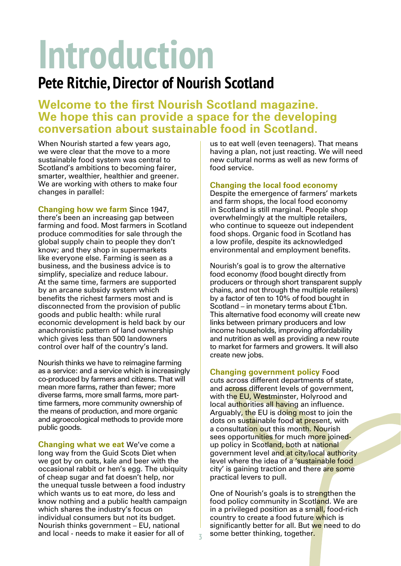# **Introduction**

#### **Pete Ritchie, Director of Nourish Scotland**

#### **Welcome to the first Nourish Scotland magazine.** We hope this can provide a space for the developing **CONVERSATION About sustainable food in Scotland.**

When Nourish started a few years ago, we were clear that the move to a more sustainable food system was central to Scotland's ambitions to becoming fairer, smarter, wealthier, healthier and greener. We are working with others to make four changes in parallel:

**Changing how we farm Since 1947,** there's been an increasing gap between farming and food. Most farmers in Scotland produce commodities for sale through the global supply chain to people they don't know; and they shop in supermarkets like everyone else. Farming is seen as a business, and the business advice is to simplify, specialize and reduce labour. At the same time, farmers are supported by an arcane subsidy system which benefits the richest farmers most and is disconnected from the provision of public goods and public health: while rural economic development is held back by our anachronistic pattern of land ownership which gives less than 500 landowners control over half of the country's land.

Nourish thinks we have to reimagine farming as a service: and a service which is increasingly co-produced by farmers and citizens. That will mean more farms, rather than fewer; more diverse farms, more small farms, more parttime farmers, more community ownership of the means of production, and more organic and agroecological methods to provide more public goods.

**Changing what we eat We've come a** long way from the Guid Scots Diet when we got by on oats, kale and beer with the occasional rabbit or hen's egg. The ubiquity of cheap sugar and fat doesn't help, nor the unequal tussle between a food industry which wants us to eat more, do less and know nothing and a public health campaign which shares the industry's focus on individual consumers but not its budget. Nourish thinks government – EU, national and local - needs to make it easier for all of

us to eat well (even teenagers). That means having a plan, not just reacting. We will need new cultural norms as well as new forms of food service.

#### **Changing the local food economy**

Despite the emergence of farmers' markets and farm shops, the local food economy in Scotland is still marginal. People shop overwhelmingly at the multiple retailers, who continue to squeeze out independent food shops. Organic food in Scotland has a low profile, despite its acknowledged environmental and employment benefits.

Nourish's goal is to grow the alternative food economy (food bought directly from producers or through short transparent supply chains, and not through the multiple retailers) by a factor of ten to 10% of food bought in Scotland – in monetary terms about £1bn. This alternative food economy will create new links between primary producers and low income households, improving affordability and nutrition as well as providing a new route to market for farmers and growers. It will also create new jobs.

**Changing government policy Food** cuts across different departments of state, and across different levels of government, with the EU, Westminster, Holyrood and local authorities all having an influence. Arguably, the EU is doing most to join the dots on sustainable food at present, with a consultation out this month. Nourish sees opportunities for much more joinedup policy in Scotland, both at national government level and at city/local authority level where the idea of a 'sustainable food city' is gaining traction and there are some practical levers to pull.

One of Nourish's goals is to strengthen the food policy community in Scotland. We are in a privileged position as a small, food-rich country to create a food future which is significantly better for all. But we need to do some better thinking, together.

**3**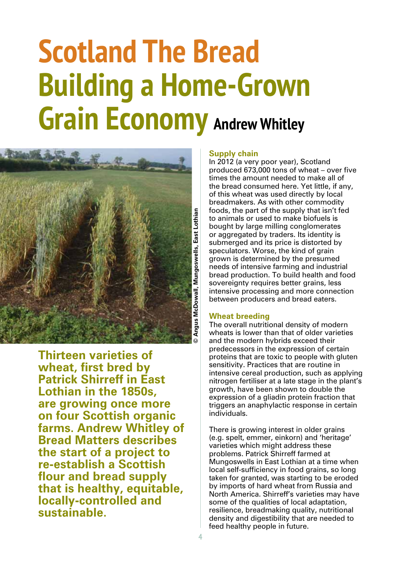### **Scotland The Bread Building a Home-Grown Grain Economy Andrew Whitley**



**Thirteen varieties of wheat, first bred by Patrick Shirreff in East Lothian in the 1850s,** are growing once more **on four Scottish organic** farms. Andrew Whitley of **Bread Matters describes** the start of a project to **re-establish a Scottish** flour and bread supply that is healthy, equitable, **locally-controlled and** sustainable

#### **Supply chain**

In 2012 (a very poor year), Scotland produced 673,000 tons of wheat  $-$  over five times the amount needed to make all of the bread consumed here. Yet little, if any, of this wheat was used directly by local breadmakers. As with other commodity foods, the part of the supply that isn't fed to animals or used to make biofuels is bought by large milling conglomerates or aggregated by traders. Its identity is submerged and its price is distorted by speculators. Worse, the kind of grain grown is determined by the presumed needs of intensive farming and industrial bread production. To build health and food sovereignty requires better grains, less intensive processing and more connection between producers and bread eaters.

#### **Wheat breeding**

The overall nutritional density of modern wheats is lower than that of older varieties and the modern hybrids exceed their predecessors in the expression of certain proteins that are toxic to people with gluten sensitivity. Practices that are routine in intensive cereal production, such as applying nitrogen fertiliser at a late stage in the plant's growth, have been shown to double the expression of a gliadin protein fraction that triggers an anaphylactic response in certain individuals.

There is growing interest in older grains (e.g. spelt, emmer, einkorn) and 'heritage' varieties which might address these problems. Patrick Shirreff farmed at Mungoswells in East Lothian at a time when local self-sufficiency in food grains, so long taken for granted, was starting to be eroded by imports of hard wheat from Russia and North America. Shirreff's varieties may have some of the qualities of local adaptation, resilience, breadmaking quality, nutritional density and digestibility that are needed to feed healthy people in future.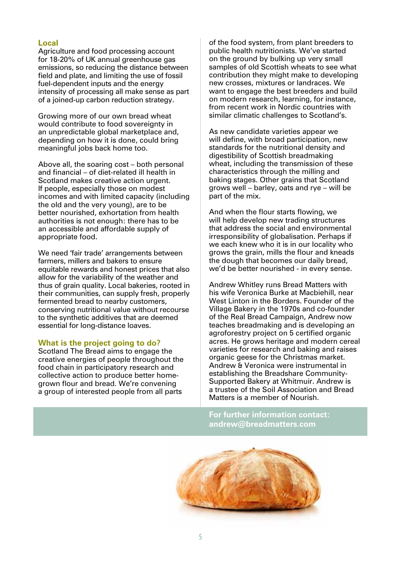#### Local

Agriculture and food processing account for 18-20% of UK annual greenhouse gas emissions, so reducing the distance between field and plate, and limiting the use of fossil fuel-dependent inputs and the energy intensity of processing all make sense as part of a joined-up carbon reduction strategy.

Growing more of our own bread wheat would contribute to food sovereignty in an unpredictable global marketplace and, depending on how it is done, could bring meaningful jobs back home too.

Above all, the soaring cost – both personal and financial - of diet-related ill health in Scotland makes creative action urgent. If people, especially those on modest incomes and with limited capacity (including the old and the very young), are to be better nourished, exhortation from health authorities is not enough: there has to be an accessible and affordable supply of appropriate food.

We need 'fair trade' arrangements between farmers, millers and bakers to ensure equitable rewards and honest prices that also allow for the variability of the weather and thus of grain quality. Local bakeries, rooted in their communities, can supply fresh, properly fermented bread to nearby customers, conserving nutritional value without recourse to the synthetic additives that are deemed essential for long-distance loaves.

#### **What is the project going to do?**

Scotland The Bread aims to engage the creative energies of people throughout the food chain in participatory research and collective action to produce better homegrown flour and bread. We're convening a group of interested people from all parts

of the food system, from plant breeders to public health nutritionists. We've started on the ground by bulking up very small samples of old Scottish wheats to see what contribution they might make to developing new crosses, mixtures or landraces. We want to engage the best breeders and build on modern research, learning, for instance, from recent work in Nordic countries with similar climatic challenges to Scotland's.

As new candidate varieties appear we will define, with broad participation, new standards for the nutritional density and digestibility of Scottish breadmaking wheat, including the transmission of these characteristics through the milling and baking stages. Other grains that Scotland grows well – barley, oats and rye – will be part of the mix.

And when the flour starts flowing, we will help develop new trading structures that address the social and environmental irresponsibility of globalisation. Perhaps if we each knew who it is in our locality who grows the grain, mills the flour and kneads the dough that becomes our daily bread, we'd be better nourished - in every sense.

Andrew Whitley runs Bread Matters with his wife Veronica Burke at Macbiehill, near West Linton in the Borders. Founder of the Village Bakery in the 1970s and co-founder of the Real Bread Campaign, Andrew now teaches breadmaking and is developing an agroforestry project on 5 certified organic acres. He grows heritage and modern cereal varieties for research and baking and raises organic geese for the Christmas market. Andrew & Veronica were instrumental in establishing the Breadshare Community-Supported Bakery at Whitmuir. Andrew is a trustee of the Soil Association and Bread Matters is a member of Nourish.

For further information contact: andrew@breadmatters.com

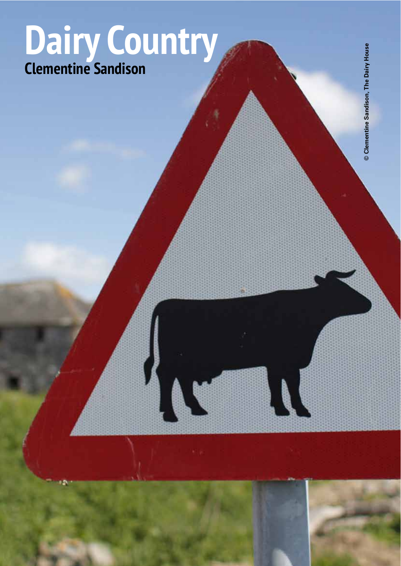### Dairy Country **Clementine Sandison**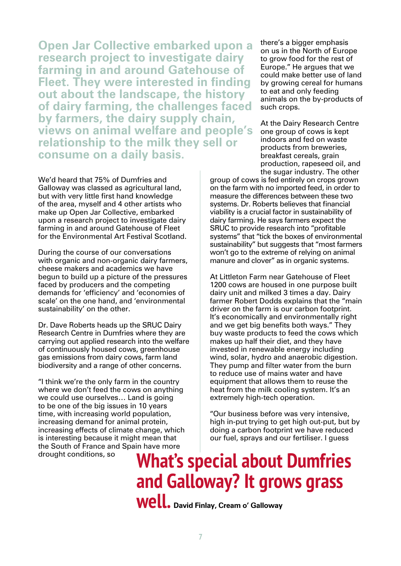**Open Jar Collective embarked upon a** research project to investigate dairy **farming in and around Gatehouse of Fleet. They were interested in finding out about the landscape, the history** of dairy farming, the challenges faced by farmers, the dairy supply chain, **views on animal welfare and people's relationship to the milk they sell or** consume on a daily basis.

We'd heard that 75% of Dumfries and Galloway was classed as agricultural land, but with very little first hand knowledge of the area, myself and 4 other artists who make up Open Jar Collective, embarked upon a research project to investigate dairy farming in and around Gatehouse of Fleet for the Environmental Art Festival Scotland.

During the course of our conversations with organic and non-organic dairy farmers, cheese makers and academics we have begun to build up a picture of the pressures faced by producers and the competing demands for 'efficiency' and 'economies of scale' on the one hand, and 'environmental sustainability' on the other.

Dr. Dave Roberts heads up the SRUC Dairy Research Centre in Dumfries where they are carrying out applied research into the welfare of continuously housed cows, greenhouse gas emissions from dairy cows, farm land biodiversity and a range of other concerns.

"I think we're the only farm in the country where we don't feed the cows on anything we could use ourselves… Land is going to be one of the big issues in 10 years time, with increasing world population, increasing demand for animal protein, increasing effects of climate change, which is interesting because it might mean that the South of France and Spain have more drought conditions, so

there's a bigger emphasis on us in the North of Europe to grow food for the rest of Europe." He argues that we could make better use of land by growing cereal for humans to eat and only feeding animals on the by-products of such crops.

At the Dairy Research Centre one group of cows is kept indoors and fed on waste products from breweries, breakfast cereals, grain production, rapeseed oil, and the sugar industry. The other

group of cows is fed entirely on crops grown on the farm with no imported feed, in order to measure the differences between these two systems. Dr. Roberts believes that financial viability is a crucial factor in sustainability of dairy farming. He says farmers expect the SRUC to provide research into "profitable" systems" that "tick the boxes of environmental sustainability" but suggests that "most farmers won't go to the extreme of relying on animal manure and clover" as in organic systems.

At Littleton Farm near Gatehouse of Fleet 1200 cows are housed in one purpose built dairy unit and milked 3 times a day. Dairy farmer Robert Dodds explains that the "main driver on the farm is our carbon footprint. It's economically and environmentally right and we get big benefits both ways." They buy waste products to feed the cows which makes up half their diet, and they have invested in renewable energy including wind, solar, hydro and anaerobic digestion. They pump and filter water from the burn to reduce use of mains water and have equipment that allows them to reuse the heat from the milk cooling system. It's an extremely high-tech operation.

"Our business before was very intensive, high in-put trying to get high out-put, but by doing a carbon footprint we have reduced our fuel, sprays and our fertiliser. I guess

**What's special about Dumfries and Galloway? It grows grass Well.** David Finlay, Cream o' Galloway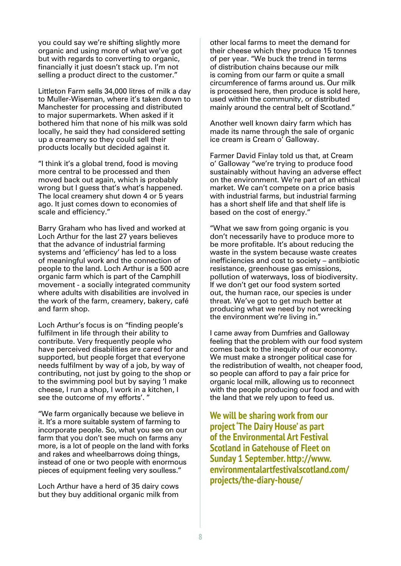you could say we're shifting slightly more organic and using more of what we've got but with regards to converting to organic, financially it just doesn't stack up. I'm not selling a product direct to the customer."

Littleton Farm sells 34,000 litres of milk a day to Muller-Wiseman, where it's taken down to Manchester for processing and distributed to major supermarkets. When asked if it bothered him that none of his milk was sold locally, he said they had considered setting up a creamery so they could sell their products locally but decided against it.

"I think it's a global trend, food is moving more central to be processed and then moved back out again, which is probably wrong but I guess that's what's happened. The local creamery shut down 4 or 5 years ago. It just comes down to economies of scale and efficiency."

Barry Graham who has lived and worked at Loch Arthur for the last 27 years believes that the advance of industrial farming systems and 'efficiency' has led to a loss of meaningful work and the connection of people to the land. Loch Arthur is a 500 acre organic farm which is part of the Camphill movement - a socially integrated community where adults with disabilities are involved in the work of the farm, creamery, bakery, café and farm shop.

Loch Arthur's focus is on "finding people's fulfilment in life through their ability to contribute. Very frequently people who have perceived disabilities are cared for and supported, but people forget that everyone needs fulfilment by way of a job, by way of contributing, not just by going to the shop or to the swimming pool but by saying 'I make cheese, I run a shop, I work in a kitchen, I see the outcome of my efforts'. "

"We farm organically because we believe in it. It's a more suitable system of farming to incorporate people. So, what you see on our farm that you don't see much on farms any more, is a lot of people on the land with forks and rakes and wheelbarrows doing things, instead of one or two people with enormous pieces of equipment feeling very soulless."

Loch Arthur have a herd of 35 dairy cows but they buy additional organic milk from other local farms to meet the demand for their cheese which they produce 15 tonnes of per year. "We buck the trend in terms of distribution chains because our milk is coming from our farm or quite a small circumference of farms around us. Our milk is processed here, then produce is sold here, used within the community, or distributed mainly around the central belt of Scotland."

Another well known dairy farm which has made its name through the sale of organic ice cream is Cream o' Galloway.

Farmer David Finlay told us that, at Cream o' Galloway "we're trying to produce food sustainably without having an adverse effect on the environment. We're part of an ethical market. We can't compete on a price basis with industrial farms, but industrial farming has a short shelf life and that shelf life is based on the cost of energy."

"What we saw from going organic is you don't necessarily have to produce more to be more profitable. It's about reducing the waste in the system because waste creates inefficiencies and cost to society  $-$  antibiotic resistance, greenhouse gas emissions, pollution of waterways, loss of biodiversity. If we don't get our food system sorted out, the human race, our species is under threat. We've got to get much better at producing what we need by not wrecking the environment we're living in."

I came away from Dumfries and Galloway feeling that the problem with our food system comes back to the inequity of our economy. We must make a stronger political case for the redistribution of wealth, not cheaper food, so people can afford to pay a fair price for organic local milk, allowing us to reconnect with the people producing our food and with the land that we rely upon to feed us.

**We will be sharing work from our Burgadier in the Dairy House' as part R** of the Environmental Art Festival **6**Scotland in Gatehouse of Fleet on **Sunday 1 September, http://www. environmentalartfestivalscotland.com/ projects/the-diary-house/**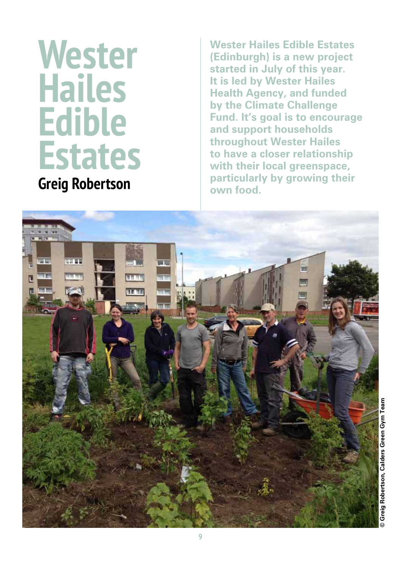## **Wester Hailes Edible Estates**

**Greig Robertson** 

**Wester Hailes Edible Estates (Edinburgh) is a new project** started in July of this year. **It is led by Wester Hailes Health Agency, and funded by the Climate Challenge Fund. It's goal is to encourage** and support households **throughout Wester Hailes to have a closer relationship <u>with their local greenspace,</u> particularly by growing their** own food.

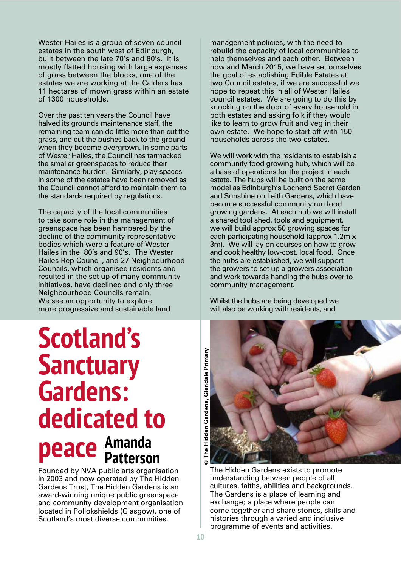Wester Hailes is a group of seven council estates in the south west of Edinburgh, built between the late 70's and 80's. It is mostly flatted housing with large expanses of grass between the blocks, one of the estates we are working at the Calders has 11 hectares of mown grass within an estate of 1300 households.

Over the past ten years the Council have halved its grounds maintenance staff, the remaining team can do little more than cut the grass, and cut the bushes back to the ground when they become overgrown. In some parts of Wester Hailes, the Council has tarmacked the smaller greenspaces to reduce their maintenance burden. Similarly, play spaces in some of the estates have been removed as the Council cannot afford to maintain them to the standards required by regulations.

The capacity of the local communities to take some role in the management of greenspace has been hampered by the decline of the community representative bodies which were a feature of Wester Hailes in the 80's and 90's. The Wester Hailes Rep Council, and 27 Neighbourhood Councils, which organised residents and resulted in the set up of many community initiatives, have declined and only three Neighbourhood Councils remain. We see an opportunity to explore more progressive and sustainable land

### **Scotland's Sanctuary Gardens: dedicated to Peace** Amanda **Patterson**

Founded by NVA public arts organisation in 2003 and now operated by The Hidden Gardens Trust, The Hidden Gardens is an award-winning unique public greenspace and community development organisation located in Pollokshields (Glasgow), one of Scotland's most diverse communities.

management policies, with the need to rebuild the capacity of local communities to help themselves and each other. Between now and March 2015, we have set ourselves the goal of establishing Edible Estates at two Council estates, if we are successful we hope to repeat this in all of Wester Hailes council estates. We are going to do this by knocking on the door of every household in both estates and asking folk if they would like to learn to grow fruit and veg in their own estate. We hope to start off with 150 households across the two estates.

We will work with the residents to establish a community food growing hub, which will be a base of operations for the project in each estate. The hubs will be built on the same model as Edinburgh's Lochend Secret Garden and Sunshine on Leith Gardens, which have become successful community run food growing gardens. At each hub we will install a shared tool shed, tools and equipment, we will build approx 50 growing spaces for each participating household (approx 1.2m x 3m). We will lay on courses on how to grow and cook healthy low-cost, local food. Once the hubs are established, we will support the growers to set up a growers association and work towards handing the hubs over to community management.

Whilst the hubs are being developed we will also be working with residents, and



The Hidden Gardens exists to promote understanding between people of all cultures, faiths, abilities and backgrounds. The Gardens is a place of learning and exchange; a place where people can come together and share stories, skills and histories through a varied and inclusive programme of events and activities.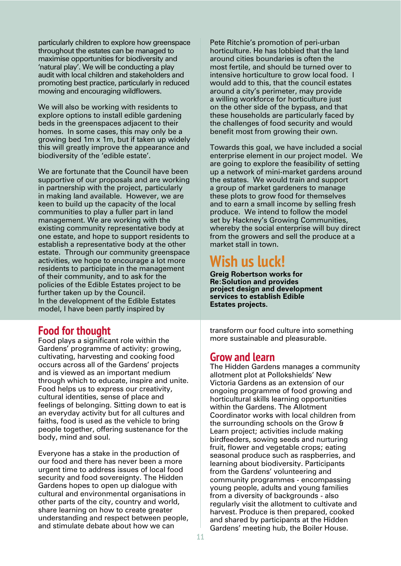particularly children to explore how greenspace throughout the estates can be managed to maximise opportunities for biodiversity and 'natural play'. We will be conducting a play audit with local children and stakeholders and promoting best practice, particularly in reduced mowing and encouraging wildflowers.

We will also be working with residents to explore options to install edible gardening beds in the greenspaces adjacent to their homes. In some cases, this may only be a growing bed 1m x 1m, but if taken up widely this will greatly improve the appearance and biodiversity of the 'edible estate'.

We are fortunate that the Council have been supportive of our proposals and are working in partnership with the project, particularly in making land available. However, we are keen to build up the capacity of the local communities to play a fuller part in land management. We are working with the existing community representative body at one estate, and hope to support residents to establish a representative body at the other estate. Through our community greenspace activities, we hope to encourage a lot more residents to participate in the management of their community, and to ask for the policies of the Edible Estates project to be further taken up by the Council. In the development of the Edible Estates model, I have been partly inspired by

#### **Food for thought**

Food plays a significant role within the Gardens' programme of activity: growing, cultivating, harvesting and cooking food occurs across all of the Gardens' projects and is viewed as an important medium through which to educate, inspire and unite. Food helps us to express our creativity, cultural identities, sense of place and feelings of belonging. Sitting down to eat is an everyday activity but for all cultures and faiths, food is used as the vehicle to bring people together, offering sustenance for the body, mind and soul.

Everyone has a stake in the production of our food and there has never been a more urgent time to address issues of local food security and food sovereignty. The Hidden Gardens hopes to open up dialogue with cultural and environmental organisations in other parts of the city, country and world, share learning on how to create greater understanding and respect between people, and stimulate debate about how we can

Pete Ritchie's promotion of peri-urban horticulture. He has lobbied that the land around cities boundaries is often the most fertile, and should be turned over to intensive horticulture to grow local food. I would add to this, that the council estates around a city's perimeter, may provide a willing workforce for horticulture just on the other side of the bypass, and that these households are particularly faced by the challenges of food security and would benefit most from growing their own.

Towards this goal, we have included a social enterprise element in our project model. We are going to explore the feasibility of setting up a network of mini-market gardens around the estates. We would train and support a group of market gardeners to manage these plots to grow food for themselves and to earn a small income by selling fresh produce. We intend to follow the model set by Hackney's Growing Communities, whereby the social enterprise will buy direct from the growers and sell the produce at a market stall in town.

#### **Wish us luck!**

**Greig Robertson works for Re:Solution and provides project design and development Services to establish Edible Estates projects.** 

transform our food culture into something more sustainable and pleasurable.

#### **Grow and learn**

The Hidden Gardens manages a community allotment plot at Pollokshields' New Victoria Gardens as an extension of our ongoing programme of food growing and horticultural skills learning opportunities within the Gardens. The Allotment Coordinator works with local children from the surrounding schools on the Grow & Learn project; activities include making birdfeeders, sowing seeds and nurturing fruit, flower and vegetable crops; eating seasonal produce such as raspberries, and learning about biodiversity. Participants from the Gardens' volunteering and community programmes - encompassing young people, adults and young families from a diversity of backgrounds - also regularly visit the allotment to cultivate and harvest. Produce is then prepared, cooked and shared by participants at the Hidden Gardens' meeting hub, the Boiler House.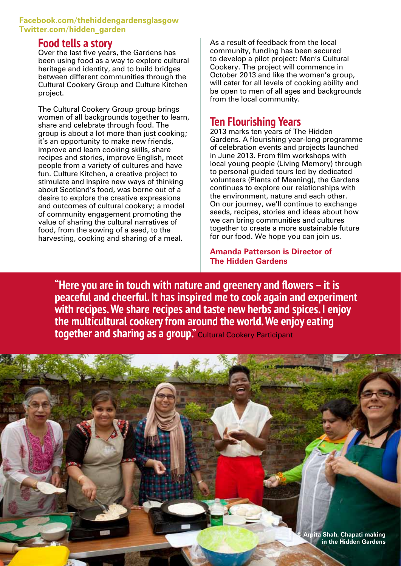#### **Facebook.com/thehiddengardensglasgow Twitter.com/hidden garden**

#### **Food tells a story**

Over the last five years, the Gardens has been using food as a way to explore cultural heritage and identity, and to build bridges between different communities through the Cultural Cookery Group and Culture Kitchen project.

The Cultural Cookery Group group brings women of all backgrounds together to learn, share and celebrate through food. The group is about a lot more than just cooking; it's an opportunity to make new friends, improve and learn cooking skills, share recipes and stories, improve English, meet people from a variety of cultures and have fun. Culture Kitchen, a creative project to stimulate and inspire new ways of thinking about Scotland's food, was borne out of a desire to explore the creative expressions and outcomes of cultural cookery; a model of community engagement promoting the value of sharing the cultural narratives of food, from the sowing of a seed, to the harvesting, cooking and sharing of a meal.

As a result of feedback from the local community, funding has been secured to develop a pilot project: Men's Cultural Cookery. The project will commence in October 2013 and like the women's group, will cater for all levels of cooking ability and be open to men of all ages and backgrounds from the local community.

#### **7EQ H Hourishing** Years

2013 marks ten years of The Hidden Gardens. A flourishing year-long programme of celebration events and projects launched in June 2013. From film workshops with local young people (Living Memory) through to personal guided tours led by dedicated volunteers (Plants of Meaning), the Gardens continues to explore our relationships with the environment, nature and each other. On our journey, we'll continue to exchange seeds, recipes, stories and ideas about how we can bring communities and cultures together to create a more sustainable future for our food. We hope you can join us.

**Amanda Patterson is Director of The Hidden Gardens** 

**<sup>"</sup>Here you are in touch with nature and greenery and flowers - it is Deaceful and cheerful. It has inspired me to cook again and experiment Z With recipes. We share recipes and taste new herbs and spices. I enjoy the multicultural cookery from around the world. We enjoy eating Kogether and sharing as a group."** Cultural Cookery Participant

**12**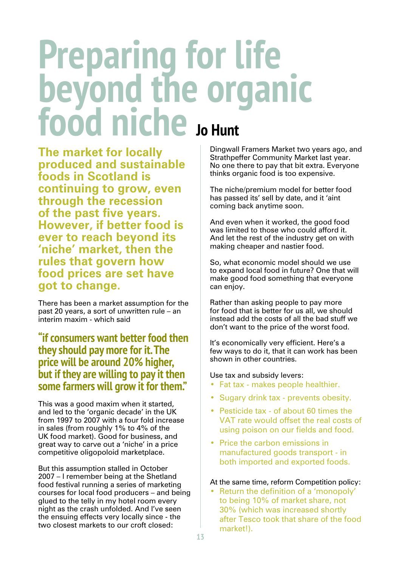# **<u>eparing</u>** for life **Eyond the organic<br>and niche , Hunt**

**The market for locally produced and sustainable <u>foods</u>** in Scotland is **Continuing to grow, even through the recession** of the past five years. **However, if better food is ever to reach beyond its** 'niche' market, then the **rules that govern how food prices are set have** got to change.

There has been a market assumption for the past 20 years, a sort of unwritten rule – an interim maxim - which said

**"if consumers want better food then they should pay more for it. The price will be around 20% higher, but if they are willing to pay it then Some farmers will grow it for them."** 

This was a good maxim when it started, and led to the 'organic decade' in the UK from 1997 to 2007 with a four fold increase in sales (from roughly 1% to 4% of the UK food market). Good for business, and great way to carve out a 'niche' in a price competitive oligopoloid marketplace.

But this assumption stalled in October 2007 – I remember being at the Shetland food festival running a series of marketing courses for local food producers – and being glued to the telly in my hotel room every night as the crash unfolded. And I've seen the ensuing effects very locally since - the two closest markets to our croft closed:

Dingwall Framers Market two years ago, and Strathpeffer Community Market last year. No one there to pay that bit extra. Everyone thinks organic food is too expensive.

The niche/premium model for better food has passed its' sell by date, and it 'aint coming back anytime soon.

And even when it worked, the good food was limited to those who could afford it. And let the rest of the industry get on with making cheaper and nastier food.

So, what economic model should we use to expand local food in future? One that will make good food something that everyone can enjoy.

Rather than asking people to pay more for food that is better for us all, we should instead add the costs of all the bad stuff we don't want to the price of the worst food.

It's economically very efficient. Here's a few ways to do it, that it can work has been shown in other countries.

Use tax and subsidy levers:

- Fat tax makes people healthier.
- Sugary drink tax prevents obesity.
- Pesticide tax of about 60 times the VAT rate would offset the real costs of using poison on our fields and food.
- Price the carbon emissions in manufactured goods transport - in both imported and exported foods.

#### At the same time, reform Competition policy:

• Return the definition of a 'monopoly' to being 10% of market share, not 30% (which was increased shortly after Tesco took that share of the food market!).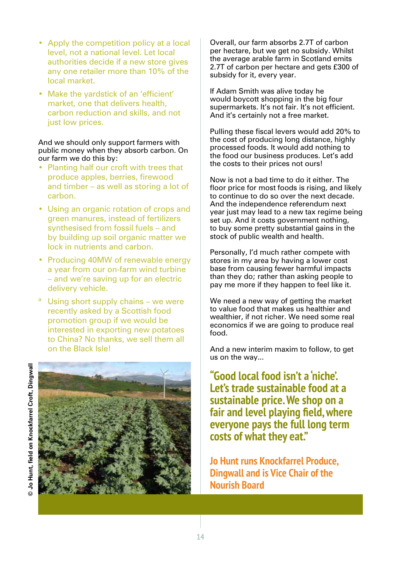- Apply the competition policy at a local level, not a national level. Let local authorities decide if a new store gives any one retailer more than 10% of the local market.
- Make the yardstick of an 'efficient' market, one that delivers health, carbon reduction and skills, and not just low prices.

#### And we should only support farmers with public money when they absorb carbon. On our farm we do this by:

- Planting half our croft with trees that produce apples, berries, firewood and timber – as well as storing a lot of carbon.
- Using an organic rotation of crops and green manures, instead of fertilizers synthesised from fossil fuels – and by building up soil organic matter we lock in nutrients and carbon.
- Producing 40MW of renewable energy a year from our on-farm wind turbine – and we're saving up for an electric delivery vehicle.
- <sup>a</sup> Using short supply chains we were recently asked by a Scottish food promotion group if we would be interested in exporting new potatoes to China? No thanks, we sell them all on the Black Isle!



Overall, our farm absorbs 2.7T of carbon per hectare, but we get no subsidy. Whilst the average arable farm in Scotland emits 2.7T of carbon per hectare and gets £300 of subsidy for it, every year.

If Adam Smith was alive today he would boycott shopping in the big four supermarkets, It's not fair, It's not efficient. And it's certainly not a free market.

Pulling these fiscal levers would add 20% to the cost of producing long distance, highly processed foods. It would add nothing to the food our business produces. Let's add the costs to their prices not ours!

Now is not a bad time to do it either. The floor price for most foods is rising, and likely to continue to do so over the next decade. And the independence referendum next year just may lead to a new tax regime being set up. And it costs government nothing, to buy some pretty substantial gains in the stock of public wealth and health.

Personally, I'd much rather compete with stores in my area by having a lower cost base from causing fewer harmful impacts than they do; rather than asking people to pay me more if they happen to feel like it.

We need a new way of getting the market to value food that makes us healthier and wealthier, if not richer. We need some real economics if we are going to produce real food.

And a new interim maxim to follow, to get us on the way...

**''Good local food isn't a 'niche'. Let's trade sustainable food at a Sustainable price. We shop on a fair and level playing field, where everyone pays the full long term FRUGGIES RIGHT RIGHT RIGHT RIGHT RIGHT RIGHT RIGHT RIGHT RIGHT RIGHT RIGHT RIGHT RIGHT RIGHT RIGHT RIGHT RIGHT RIGHT RIGHT RIGHT RIGHT RIGHT RIGHT RIGHT RIGHT RIGHT RI** 

**Jo Hunt runs Knockfarrel Produce. Dingwall and is Vice Chair of the Nourish Board**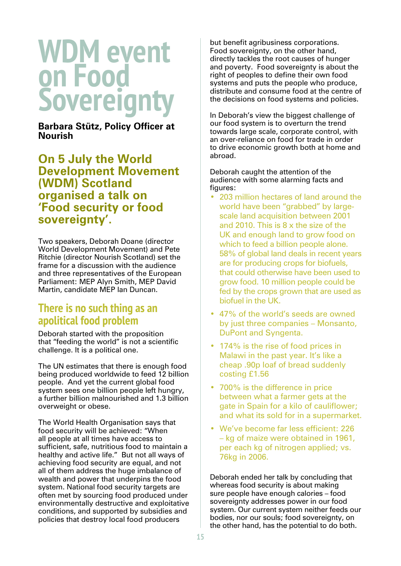### **WDM** event **on Food Sovereignty**

**Barbara Stütz, Policy Officer at Nourish** 

**2D-M-XD-MOGLE SHIPS SHOW SHIPS SHIPS SHIPS SHIPS SHIPS SHIPS SHIPS SHIPS SHIPS SHIPS SHIPS SHIPS SHIPS SHIPS SHIPS SHIPS SHIPS SHIPS SHIPS SHIPS ShipS ShipS ShipS ShipS ShipS ShipS ShipS ShipS ShipS ShipS ShipS ShipS Ship Development Movement (WDM) Scotland** *<u><b>Organised a talk on</u>*</u> **'Food security or food** sovereignty'.

Two speakers, Deborah Doane (director World Development Movement) and Pete Ritchie (director Nourish Scotland) set the frame for a discussion with the audience and three representatives of the European Parliament: MEP Alyn Smith, MEP David Martin, candidate MEP Ian Duncan.

#### *<u>There is no such thing as an</u>* **apolitical food problem**

Deborah started with the proposition that "feeding the world" is not a scientific challenge. It is a political one.

The UN estimates that there is enough food being produced worldwide to feed 12 billion people. And yet the current global food system sees one billion people left hungry, a further billion malnourished and 1.3 billion overweight or obese.

The World Health Organisation says that food security will be achieved: "When all people at all times have access to sufficient, safe, nutritious food to maintain a healthy and active life." But not all ways of achieving food security are equal, and not all of them address the huge imbalance of wealth and power that underpins the food system. National food security targets are often met by sourcing food produced under environmentally destructive and exploitative conditions, and supported by subsidies and policies that destroy local food producers

but benefit agribusiness corporations. Food sovereignty, on the other hand, directly tackles the root causes of hunger and poverty. Food sovereignty is about the right of peoples to define their own food systems and puts the people who produce, distribute and consume food at the centre of the decisions on food systems and policies.

In Deborah's view the biggest challenge of our food system is to overturn the trend towards large scale, corporate control, with an over-reliance on food for trade in order to drive economic growth both at home and abroad.

Deborah caught the attention of the audience with some alarming facts and figures:

- 203 million hectares of land around the world have been "grabbed" by largescale land acquisition between 2001 and 2010. This is 8 x the size of the UK and enough land to grow food on which to feed a billion people alone. 58% of global land deals in recent years are for producing crops for biofuels, that could otherwise have been used to grow food. 10 million people could be fed by the crops grown that are used as biofuel in the UK.
- 47% of the world's seeds are owned by just three companies – Monsanto, DuPont and Syngenta.
- 174% is the rise of food prices in Malawi in the past year. It's like a cheap .90p loaf of bread suddenly costing £1.56
- 700% is the difference in price between what a farmer gets at the gate in Spain for a kilo of cauliflower; and what its sold for in a supermarket.
- We've become far less efficient: 226 – kg of maize were obtained in 1961, per each kg of nitrogen applied; vs. 76kg in 2006.

Deborah ended her talk by concluding that whereas food security is about making sure people have enough calories – food sovereignty addresses power in our food system. Our current system neither feeds our bodies, nor our souls; food sovereignty, on the other hand, has the potential to do both.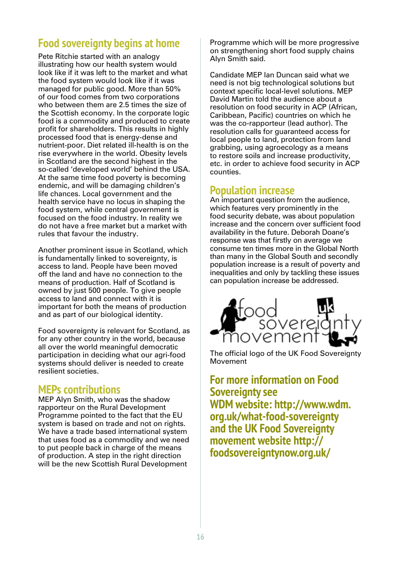#### **Food sovereignty begins at home**

Pete Ritchie started with an analogy illustrating how our health system would look like if it was left to the market and what the food system would look like if it was managed for public good. More than 50% of our food comes from two corporations who between them are 2.5 times the size of the Scottish economy. In the corporate logic food is a commodity and produced to create profit for shareholders. This results in highly processed food that is energy-dense and nutrient-poor. Diet related ill-health is on the rise everywhere in the world. Obesity levels in Scotland are the second highest in the so-called 'developed world' behind the USA. At the same time food poverty is becoming endemic, and will be damaging children's life chances. Local government and the health service have no locus in shaping the food system, while central government is focused on the food industry. In reality we do not have a free market but a market with rules that favour the industry.

Another prominent issue in Scotland, which is fundamentally linked to sovereignty, is access to land. People have been moved off the land and have no connection to the means of production. Half of Scotland is owned by just 500 people. To give people access to land and connect with it is important for both the means of production and as part of our biological identity.

Food sovereignty is relevant for Scotland, as for any other country in the world, because all over the world meaningful democratic participation in deciding what our agri-food systems should deliver is needed to create resilient societies.

#### **MEPs contributions**

MEP Alyn Smith, who was the shadow rapporteur on the Rural Development Programme pointed to the fact that the EU system is based on trade and not on rights. We have a trade based international system that uses food as a commodity and we need to put people back in charge of the means of production. A step in the right direction will be the new Scottish Rural Development

Programme which will be more progressive on strengthening short food supply chains Alyn Smith said.

Candidate MEP lan Duncan said what we need is not big technological solutions but context specific local-level solutions. MEP David Martin told the audience about a resolution on food security in ACP (African, Caribbean, Pacific) countries on which he was the co-rapporteur (lead author). The resolution calls for guaranteed access for local people to land, protection from land grabbing, using agroecology as a means to restore soils and increase productivity, etc. in order to achieve food security in ACP counties.

#### **Population increase**

An important question from the audience, which features very prominently in the food security debate, was about population increase and the concern over sufficient food availability in the future. Deborah Doane's response was that firstly on average we consume ten times more in the Global North than many in the Global South and secondly population increase is a result of poverty and inequalities and only by tackling these issues can population increase be addressed.



The official logo of the UK Food Sovereignty Movement

**For more information on Food Sovereignty see WDM** website: http://www.wdm. org.uk/what-food-sovereignty **and the UK Food Sovereignty PROXUMBLE** *PRYME* **<b>ZHEV** foodsovereigntynow.org.uk/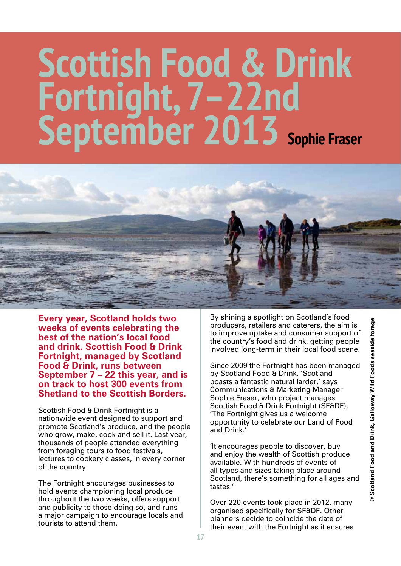# $S$ cottish Food & Drink Fortnight, 7-22nd **September 2013** sophie Fraser



**Every year, Scotland holds two <u>Weeks</u>** of events celebrating the **best of the nation's local food** and drink. Scottish Food & Drink **Fortnight, managed by Scotland Food & Drink, runs between September 7 – 22 this year, and is** on track to host 300 events from **Shetland to the Scottish Borders.** 

Scottish Food & Drink Fortnight is a nationwide event designed to support and promote Scotland's produce, and the people who grow, make, cook and sell it. Last year, thousands of people attended everything from foraging tours to food festivals, lectures to cookery classes, in every corner of the country.

The Fortnight encourages businesses to hold events championing local produce throughout the two weeks, offers support and publicity to those doing so, and runs a major campaign to encourage locals and tourists to attend them.

By shining a spotlight on Scotland's food producers, retailers and caterers, the aim is to improve uptake and consumer support of the country's food and drink, getting people involved long-term in their local food scene.

Since 2009 the Fortnight has been managed by Scotland Food & Drink. 'Scotland boasts a fantastic natural larder,' says Communications & Marketing Manager Sophie Fraser, who project manages Scottish Food & Drink Fortnight (SF&DF). 'The Fortnight gives us a welcome opportunity to celebrate our Land of Food and Drink.'

'It encourages people to discover, buy and enjoy the wealth of Scottish produce available. With hundreds of events of all types and sizes taking place around Scotland, there's something for all ages and tastes.'

Over 220 events took place in 2012, many organised specifically for SF&DF. Other planners decide to coincide the date of their event with the Fortnight as it ensures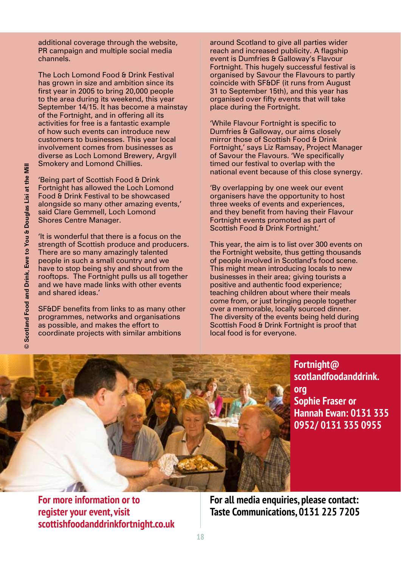additional coverage through the website, PR campaign and multiple social media channels.

The Loch Lomond Food & Drink Festival has grown in size and ambition since its first year in 2005 to bring  $20,000$  people to the area during its weekend, this year September 14/15. It has become a mainstay of the Fortnight, and in offering all its activities for free is a fantastic example of how such events can introduce new customers to businesses. This year local involvement comes from businesses as diverse as Loch Lomond Brewery, Arqyll Smokery and Lomond Chillies.

'Being part of Scottish Food & Drink Fortnight has allowed the Loch Lomond Food & Drink Festival to be showcased alongside so many other amazing events,' said Clare Gemmell, Loch Lomond Shores Centre Manager.

'It is wonderful that there is a focus on the strength of Scottish produce and producers. There are so many amazingly talented people in such a small country and we have to stop being shy and shout from the rooftops. The Fortnight pulls us all together and we have made links with other events and shared ideas.'

SF&DF benefits from links to as many other programmes, networks and organisations as possible, and makes the effort to coordinate projects with similar ambitions

around Scotland to give all parties wider reach and increased publicity. A flagship event is Dumfries & Galloway's Flavour Fortnight. This hugely successful festival is organised by Savour the Flavours to partly coincide with SF&DF (it runs from August 31 to September 15th), and this year has organised over fifty events that will take place during the Fortnight.

'While Flavour Fortnight is specific to Dumfries & Galloway, our aims closely mirror those of Scottish Food & Drink Fortnight,' says Liz Ramsay, Project Manager of Savour the Flavours. 'We specifically timed our festival to overlap with the national event because of this close synergy.

'By overlapping by one week our event organisers have the opportunity to host three weeks of events and experiences, and they benefit from having their Flavour Fortnight events promoted as part of Scottish Food & Drink Fortnight.'

This year, the aim is to list over 300 events on the Fortnight website, thus getting thousands of people involved in Scotland's food scene. This might mean introducing locals to new businesses in their area; giving tourists a positive and authentic food experience; teaching children about where their meals come from, or just bringing people together over a memorable, locally sourced dinner. The diversity of the events being held during Scottish Food & Drink Fortnight is proof that local food is for everyone.



**Fortnight@ scotlandfoodanddrink. org Sophie Fraser or Hannah Ewan: 0131 335** 0952/0131 335 0955

**For more information or to register your event, visit scottishfoodanddrinkfortnight.co.uk** **For all media enquiries, please contact: Taste Communications, 0131 225 7205**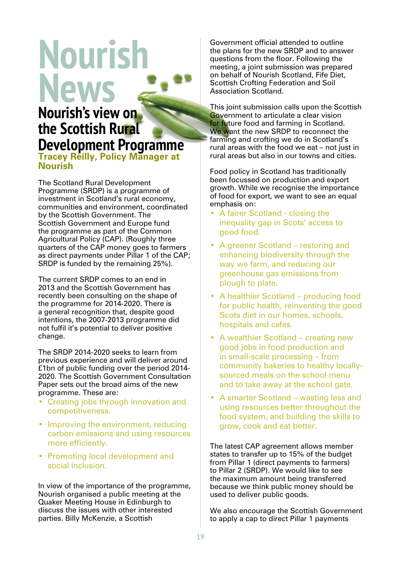# **Nourish News**

#### **Nourish's view on the Scottish Rural Development Programme**<br>Tracey Reilly, Policy Manager at

**Nourish** 

The Scotland Rural Development Programme (SRDP) is a programme of investment in Scotland's rural economy, communities and environment, coordinated by the Scottish Government. The Scottish Government and Europe fund the programme as part of the Common Agricultural Policy (CAP). (Roughly three quarters of the CAP money goes to farmers as direct payments under Pillar 1 of the CAP; SRDP is funded by the remaining 25%).

The current SRDP comes to an end in 2013 and the Scottish Government has recently been consulting on the shape of the programme for 2014-2020. There is a general recognition that, despite good intentions, the 2007-2013 programme did not fulfil it's potential to deliver positive change.

The SRDP 2014-2020 seeks to learn from previous experience and will deliver around £1bn of public funding over the period 2014- 2020. The Scottish Government Consultation Paper sets out the broad aims of the new programme. These are:

- Creating jobs through innovation and competitiveness.
- Improving the environment, reducing carbon emissions and using resources more efficiently.
- Promoting local development and social inclusion.

In view of the importance of the programme, Nourish organised a public meeting at the Quaker Meeting House in Edinburgh to discuss the issues with other interested parties. Billy McKenzie, a Scottish

Government official attended to outline the plans for the new SRDP and to answer questions from the floor. Following the meeting, a joint submission was prepared on behalf of Nourish Scotland, Fife Diet, Scottish Crofting Federation and Soil Association Scotland.

This joint submission calls upon the Scottish Government to articulate a clear vision for future food and farming in Scotland. We want the new SRDP to reconnect the farming and crofting we do in Scotland's rural areas with the food we eat – not just in rural areas but also in our towns and cities.

Food policy in Scotland has traditionally been focussed on production and export growth. While we recognise the importance of food for export, we want to see an equal emphasis on:

- A fairer Scotland closing the inequality gap in Scots' access to good food.
- A greener Scotland restoring and enhancing biodiversity through the way we farm, and reducing our greenhouse gas emissions from plough to plate.
- A healthier Scotland producing food for public health, reinventing the good Scots diet in our homes, schools, hospitals and cafes.
- A wealthier Scotland creating new good jobs in food production and in small-scale processing – from community bakeries to healthy locallysourced meals on the school menu and to take away at the school gate.
- A smarter Scotland wasting less and using resources better throughout the food system, and building the skills to grow, cook and eat better.

The latest CAP agreement allows member states to transfer up to 15% of the budget from Pillar 1 (direct payments to farmers) to Pillar 2 (SRDP). We would like to see the maximum amount being transferred because we think public money should be used to deliver public goods.

We also encourage the Scottish Government to apply a cap to direct Pillar 1 payments